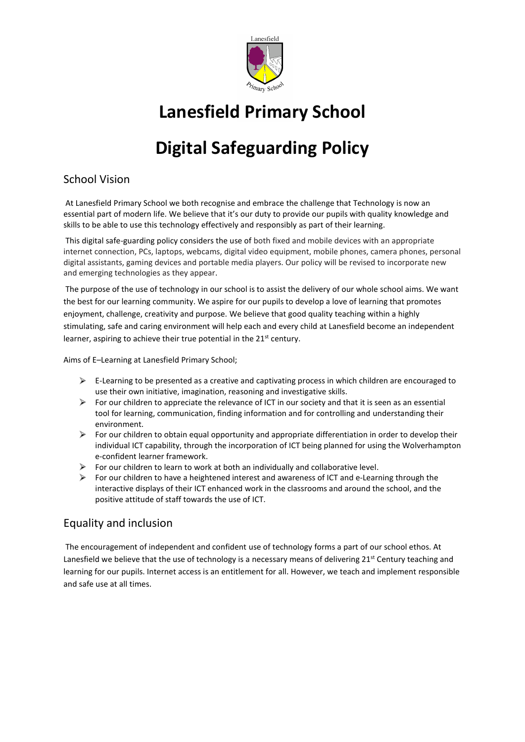

## **Lanesfield Primary School**

# **Digital Safeguarding Policy**

## School Vision

At Lanesfield Primary School we both recognise and embrace the challenge that Technology is now an essential part of modern life. We believe that it's our duty to provide our pupils with quality knowledge and skills to be able to use this technology effectively and responsibly as part of their learning.

This digital safe-guarding policy considers the use of both fixed and mobile devices with an appropriate internet connection, PCs, laptops, webcams, digital video equipment, mobile phones, camera phones, personal digital assistants, gaming devices and portable media players. Our policy will be revised to incorporate new and emerging technologies as they appear.

The purpose of the use of technology in our school is to assist the delivery of our whole school aims. We want the best for our learning community. We aspire for our pupils to develop a love of learning that promotes enjoyment, challenge, creativity and purpose. We believe that good quality teaching within a highly stimulating, safe and caring environment will help each and every child at Lanesfield become an independent learner, aspiring to achieve their true potential in the 21<sup>st</sup> century.

Aims of E–Learning at Lanesfield Primary School;

- $\triangleright$  E-Learning to be presented as a creative and captivating process in which children are encouraged to use their own initiative, imagination, reasoning and investigative skills.
- For our children to appreciate the relevance of ICT in our society and that it is seen as an essential tool for learning, communication, finding information and for controlling and understanding their environment.
- $\triangleright$ For our children to obtain equal opportunity and appropriate differentiation in order to develop their individual ICT capability, through the incorporation of ICT being planned for using the Wolverhampton e-confident learner framework.
- $\triangleright$  For our children to learn to work at both an individually and collaborative level.
- $\triangleright$  For our children to have a heightened interest and awareness of ICT and e-Learning through the interactive displays of their ICT enhanced work in the classrooms and around the school, and the positive attitude of staff towards the use of ICT.

## Equality and inclusion

The encouragement of independent and confident use of technology forms a part of our school ethos. At Lanesfield we believe that the use of technology is a necessary means of delivering  $21^{st}$  Century teaching and learning for our pupils. Internet access is an entitlement for all. However, we teach and implement responsible and safe use at all times.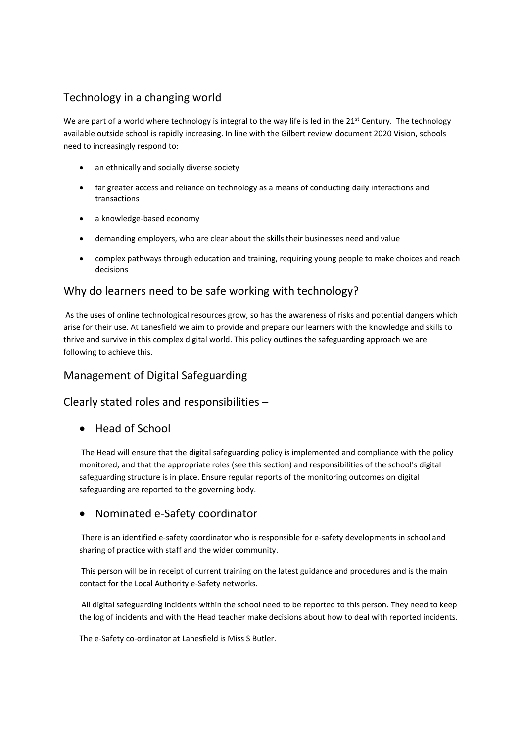## Technology in a changing world

We are part of a world where technology is integral to the way life is led in the  $21<sup>st</sup>$  Century. The technology available outside school is rapidly increasing. In line with the Gilbert review document 2020 Vision, schools need to increasingly respond to:

- an ethnically and socially diverse society
- far greater access and reliance on technology as a means of conducting daily interactions and transactions
- a knowledge-based economy
- demanding employers, who are clear about the skills their businesses need and value
- complex pathways through education and training, requiring young people to make choices and reach decisions

#### Why do learners need to be safe working with technology?

As the uses of online technological resources grow, so has the awareness of risks and potential dangers which arise for their use. At Lanesfield we aim to provide and prepare our learners with the knowledge and skills to thrive and survive in this complex digital world. This policy outlines the safeguarding approach we are following to achieve this.

## Management of Digital Safeguarding

#### Clearly stated roles and responsibilities –

• Head of School

The Head will ensure that the digital safeguarding policy is implemented and compliance with the policy monitored, and that the appropriate roles (see this section) and responsibilities of the school's digital safeguarding structure is in place. Ensure regular reports of the monitoring outcomes on digital safeguarding are reported to the governing body.

#### Nominated e-Safety coordinator

There is an identified e-safety coordinator who is responsible for e-safety developments in school and sharing of practice with staff and the wider community.

This person will be in receipt of current training on the latest guidance and procedures and is the main contact for the Local Authority e-Safety networks.

All digital safeguarding incidents within the school need to be reported to this person. They need to keep the log of incidents and with the Head teacher make decisions about how to deal with reported incidents.

The e-Safety co-ordinator at Lanesfield is Miss S Butler.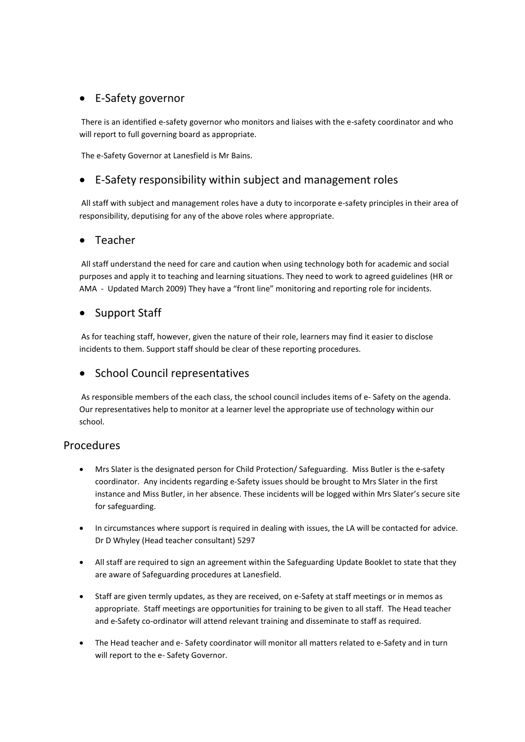## • E-Safety governor

There is an identified e-safety governor who monitors and liaises with the e-safety coordinator and who will report to full governing board as appropriate.

The e-Safety Governor at Lanesfield is Mr Bains.

#### E-Safety responsibility within subject and management roles

All staff with subject and management roles have a duty to incorporate e-safety principles in their area of responsibility, deputising for any of the above roles where appropriate.

#### Teacher

All staff understand the need for care and caution when using technology both for academic and social purposes and apply it to teaching and learning situations. They need to work to agreed guidelines (HR or AMA - Updated March 2009) They have a "front line" monitoring and reporting role for incidents.

#### Support Staff

As for teaching staff, however, given the nature of their role, learners may find it easier to disclose incidents to them. Support staff should be clear of these reporting procedures.

#### • School Council representatives

As responsible members of the each class, the school council includes items of e- Safety on the agenda. Our representatives help to monitor at a learner level the appropriate use of technology within our school.

#### Procedures

- Mrs Slater is the designated person for Child Protection/ Safeguarding. Miss Butler is the e-safety coordinator. Any incidents regarding e-Safety issues should be brought to Mrs Slater in the first instance and Miss Butler, in her absence. These incidents will be logged within Mrs Slater's secure site for safeguarding.
- In circumstances where support is required in dealing with issues, the LA will be contacted for advice. Dr D Whyley (Head teacher consultant) 5297
- All staff are required to sign an agreement within the Safeguarding Update Booklet to state that they are aware of Safeguarding procedures at Lanesfield.
- Staff are given termly updates, as they are received, on e-Safety at staff meetings or in memos as appropriate. Staff meetings are opportunities for training to be given to all staff. The Head teacher and e-Safety co-ordinator will attend relevant training and disseminate to staff as required.
- The Head teacher and e- Safety coordinator will monitor all matters related to e-Safety and in turn will report to the e- Safety Governor.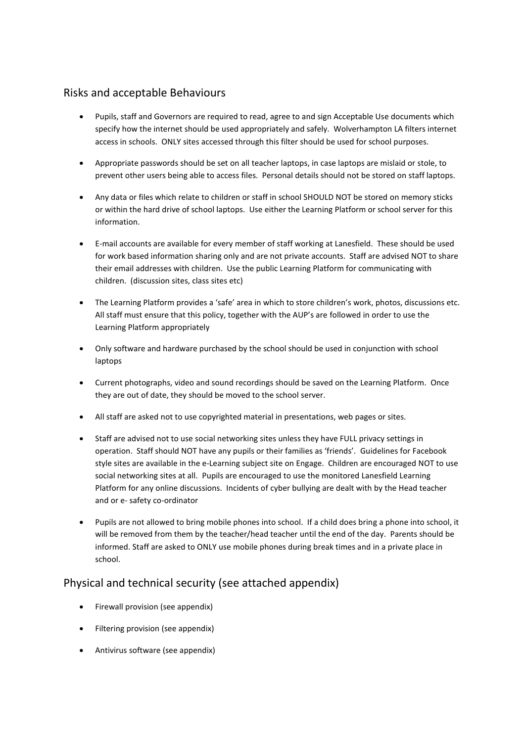#### Risks and acceptable Behaviours

- Pupils, staff and Governors are required to read, agree to and sign Acceptable Use documents which specify how the internet should be used appropriately and safely. Wolverhampton LA filters internet access in schools. ONLY sites accessed through this filter should be used for school purposes.
- Appropriate passwords should be set on all teacher laptops, in case laptops are mislaid or stole, to prevent other users being able to access files. Personal details should not be stored on staff laptops.
- Any data or files which relate to children or staff in school SHOULD NOT be stored on memory sticks or within the hard drive of school laptops. Use either the Learning Platform or school server for this information.
- E-mail accounts are available for every member of staff working at Lanesfield. These should be used for work based information sharing only and are not private accounts. Staff are advised NOT to share their email addresses with children. Use the public Learning Platform for communicating with children. (discussion sites, class sites etc)
- The Learning Platform provides a 'safe' area in which to store children's work, photos, discussions etc. All staff must ensure that this policy, together with the AUP's are followed in order to use the Learning Platform appropriately
- Only software and hardware purchased by the school should be used in conjunction with school laptops
- Current photographs, video and sound recordings should be saved on the Learning Platform. Once they are out of date, they should be moved to the school server.
- All staff are asked not to use copyrighted material in presentations, web pages or sites.
- Staff are advised not to use social networking sites unless they have FULL privacy settings in operation. Staff should NOT have any pupils or their families as 'friends'. Guidelines for Facebook style sites are available in the e-Learning subject site on Engage. Children are encouraged NOT to use social networking sites at all. Pupils are encouraged to use the monitored Lanesfield Learning Platform for any online discussions. Incidents of cyber bullying are dealt with by the Head teacher and or e- safety co-ordinator
- Pupils are not allowed to bring mobile phones into school. If a child does bring a phone into school, it will be removed from them by the teacher/head teacher until the end of the day. Parents should be informed. Staff are asked to ONLY use mobile phones during break times and in a private place in school.

## Physical and technical security (see attached appendix)

- Firewall provision (see appendix)
- Filtering provision (see appendix)
- Antivirus software (see appendix)